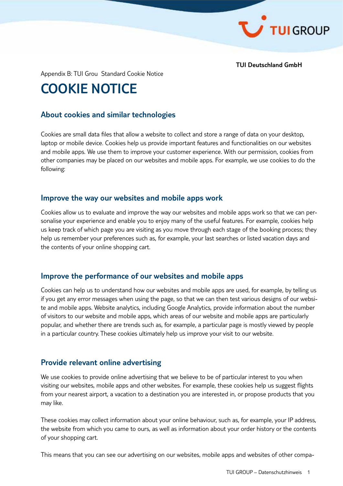

**TUI Deutschland GmbH**

Appendix B: TUI Grou Standard Cookie Notice

# **COOKIE NOTICE**

#### **About cookies and similar technologies**

Cookies are small data files that allow a website to collect and store a range of data on your desktop, laptop or mobile device. Cookies help us provide important features and functionalities on our websites and mobile apps. We use them to improve your customer experience. With our permission, cookies from other companies may be placed on our websites and mobile apps. For example, we use cookies to do the following:

#### **Improve the way our websites and mobile apps work**

Cookies allow us to evaluate and improve the way our websites and mobile apps work so that we can personalise your experience and enable you to enjoy many of the useful features. For example, cookies help us keep track of which page you are visiting as you move through each stage of the booking process; they help us remember your preferences such as, for example, your last searches or listed vacation days and the contents of your online shopping cart.

#### **Improve the performance of our websites and mobile apps**

Cookies can help us to understand how our websites and mobile apps are used, for example, by telling us if you get any error messages when using the page, so that we can then test various designs of our website and mobile apps. Website analytics, including Google Analytics, provide information about the number of visitors to our website and mobile apps, which areas of our website and mobile apps are particularly popular, and whether there are trends such as, for example, a particular page is mostly viewed by people in a particular country. These cookies ultimately help us improve your visit to our website.

#### **Provide relevant online advertising**

We use cookies to provide online advertising that we believe to be of particular interest to you when visiting our websites, mobile apps and other websites. For example, these cookies help us suggest flights from your nearest airport, a vacation to a destination you are interested in, or propose products that you may like.

These cookies may collect information about your online behaviour, such as, for example, your IP address, the website from which you came to ours, as well as information about your order history or the contents of your shopping cart.

This means that you can see our advertising on our websites, mobile apps and websites of other compa-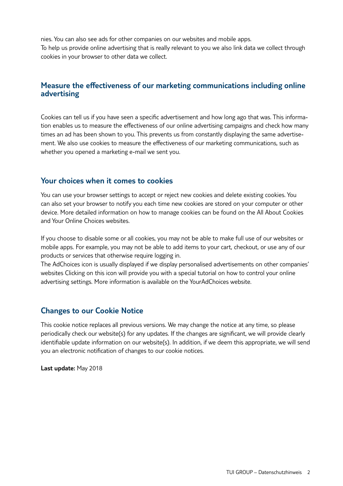nies. You can also see ads for other companies on our websites and mobile apps. To help us provide online advertising that is really relevant to you we also link data we collect through cookies in your browser to other data we collect.

## **Measure the effectiveness of our marketing communications including online advertising**

Cookies can tell us if you have seen a specific advertisement and how long ago that was. This information enables us to measure the effectiveness of our online advertising campaigns and check how many times an ad has been shown to you. This prevents us from constantly displaying the same advertisement. We also use cookies to measure the effectiveness of our marketing communications, such as whether you opened a marketing e-mail we sent you.

#### **Your choices when it comes to cookies**

You can use your browser settings to accept or reject new cookies and delete existing cookies. You can also set your browser to notify you each time new cookies are stored on your computer or other device. More detailed information on how to manage cookies can be found on the All About Cookies and Your Online Choices websites.

If you choose to disable some or all cookies, you may not be able to make full use of our websites or mobile apps. For example, you may not be able to add items to your cart, checkout, or use any of our products or services that otherwise require logging in.

The AdChoices icon is usually displayed if we display personalised advertisements on other companies' websites Clicking on this icon will provide you with a special tutorial on how to control your online advertising settings. More information is available on the YourAdChoices website.

## **Changes to our Cookie Notice**

This cookie notice replaces all previous versions. We may change the notice at any time, so please periodically check our website(s) for any updates. If the changes are significant, we will provide clearly identifiable update information on our website(s). In addition, if we deem this appropriate, we will send you an electronic notification of changes to our cookie notices.

**Last update:** May 2018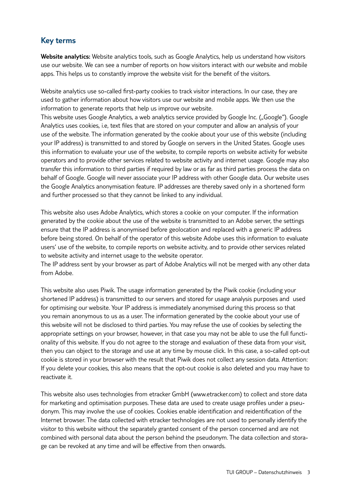## **Key terms**

**Website analytics:** Website analytics tools, such as Google Analytics, help us understand how visitors use our website. We can see a number of reports on how visitors interact with our website and mobile apps. This helps us to constantly improve the website visit for the benefit of the visitors.

Website analytics use so-called first-party cookies to track visitor interactions. In our case, they are used to gather information about how visitors use our website and mobile apps. We then use the information to generate reports that help us improve our website.

This website uses Google Analytics, a web analytics service provided by Google Inc. ("Google"). Google Analytics uses cookies, i.e, text files that are stored on your computer and allow an analysis of your use of the website. The information generated by the cookie about your use of this website (including your IP address) is transmitted to and stored by Google on servers in the United States. Google uses this information to evaluate your use of the website, to compile reports on website activity for website operators and to provide other services related to website activity and internet usage. Google may also transfer this information to third parties if required by law or as far as third parties process the data on behalf of Google. Google will never associate your IP address with other Google data. Our website uses the Google Analytics anonymisation feature. IP addresses are thereby saved only in a shortened form and further processed so that they cannot be linked to any individual.

This website also uses Adobe Analytics, which stores a cookie on your computer. If the information generated by the cookie about the use of the website is transmitted to an Adobe server, the settings ensure that the IP address is anonymised before geolocation and replaced with a generic IP address before being stored. On behalf of the operator of this website Adobe uses this information to evaluate users' use of the website, to compile reports on website activity, and to provide other services related to website activity and internet usage to the website operator.

The IP address sent by your browser as part of Adobe Analytics will not be merged with any other data from Adobe.

This website also uses Piwik. The usage information generated by the Piwik cookie (including your shortened IP address) is transmitted to our servers and stored for usage analysis purposes and used for optimising our website. Your IP address is immediately anonymised during this process so that you remain anonymous to us as a user. The information generated by the cookie about your use of this website will not be disclosed to third parties. You may refuse the use of cookies by selecting the appropriate settings on your browser, however, in that case you may not be able to use the full functionality of this website. If you do not agree to the storage and evaluation of these data from your visit, then you can object to the storage and use at any time by mouse click. In this case, a so-called opt-out cookie is stored in your browser with the result that Piwik does not collect any session data. Attention: If you delete your cookies, this also means that the opt-out cookie is also deleted and you may have to reactivate it.

This website also uses technologies from etracker GmbH (www.etracker.com) to collect and store data for marketing and optimisation purposes. These data are used to create usage profiles under a pseudonym. This may involve the use of cookies. Cookies enable identification and reidentification of the Internet browser. The data collected with etracker technologies are not used to personally identify the visitor to this website without the separately granted consent of the person concerned and are not combined with personal data about the person behind the pseudonym. The data collection and storage can be revoked at any time and will be effective from then onwards.